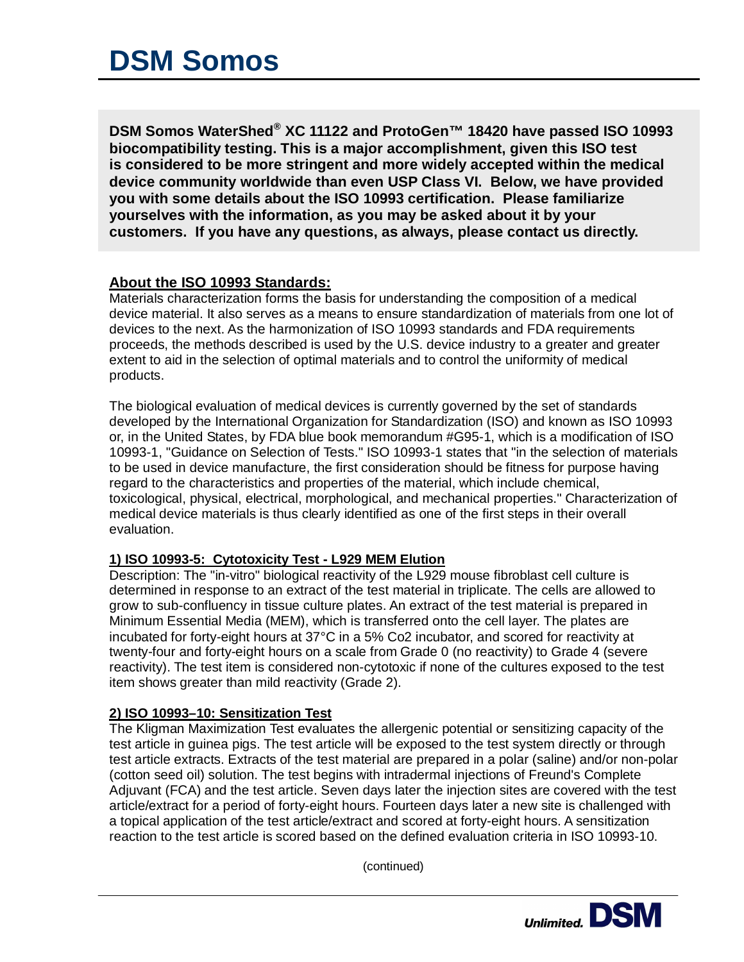# **DSM Somos**

**DSM Somos WaterShed® XC 11122 and ProtoGen™ 18420 have passed ISO 10993 biocompatibility testing. This is a major accomplishment, given this ISO test is considered to be more stringent and more widely accepted within the medical device community worldwide than even USP Class VI. Below, we have provided you with some details about the ISO 10993 certification. Please familiarize yourselves with the information, as you may be asked about it by your customers. If you have any questions, as always, please contact us directly.**

## **About the ISO 10993 Standards:**

Materials characterization forms the basis for understanding the composition of a medical device material. It also serves as a means to ensure standardization of materials from one lot of devices to the next. As the harmonization of ISO 10993 standards and FDA requirements proceeds, the methods described is used by the U.S. device industry to a greater and greater extent to aid in the selection of optimal materials and to control the uniformity of medical products.

The biological evaluation of medical devices is currently governed by the set of standards developed by the International Organization for Standardization (ISO) and known as ISO 10993 or, in the United States, by FDA blue book memorandum #G95-1, which is a modification of ISO 10993-1, "Guidance on Selection of Tests." ISO 10993-1 states that "in the selection of materials to be used in device manufacture, the first consideration should be fitness for purpose having regard to the characteristics and properties of the material, which include chemical, toxicological, physical, electrical, morphological, and mechanical properties." Characterization of medical device materials is thus clearly identified as one of the first steps in their overall evaluation.

### **1) ISO 10993-5: Cytotoxicity Test - L929 MEM Elution**

Description: The "in-vitro" biological reactivity of the L929 mouse fibroblast cell culture is determined in response to an extract of the test material in triplicate. The cells are allowed to grow to sub-confluency in tissue culture plates. An extract of the test material is prepared in Minimum Essential Media (MEM), which is transferred onto the cell layer. The plates are incubated for forty-eight hours at 37°C in a 5% Co2 incubator, and scored for reactivity at twenty-four and forty-eight hours on a scale from Grade 0 (no reactivity) to Grade 4 (severe reactivity). The test item is considered non-cytotoxic if none of the cultures exposed to the test item shows greater than mild reactivity (Grade 2).

### **2) ISO 10993–10: Sensitization Test**

The Kligman Maximization Test evaluates the allergenic potential or sensitizing capacity of the test article in guinea pigs. The test article will be exposed to the test system directly or through test article extracts. Extracts of the test material are prepared in a polar (saline) and/or non-polar (cotton seed oil) solution. The test begins with intradermal injections of Freund's Complete Adjuvant (FCA) and the test article. Seven days later the injection sites are covered with the test article/extract for a period of forty-eight hours. Fourteen days later a new site is challenged with a topical application of the test article/extract and scored at forty-eight hours. A sensitization reaction to the test article is scored based on the defined evaluation criteria in ISO 10993-10.

(continued)